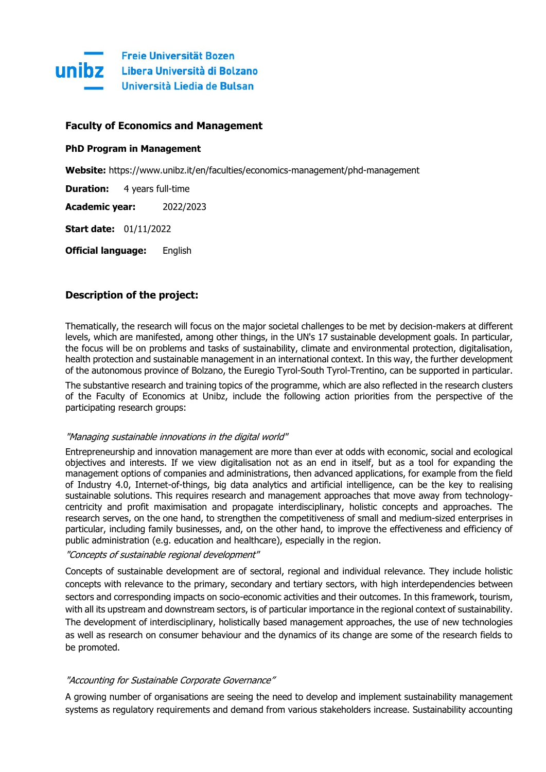

## **Faculty of Economics and Management**

## **PhD Program in Management**

**Website:** https://www.unibz.it/en/faculties/economics-management/phd-management

**Duration:** 4 years full-time

**Academic year:** 2022/2023

**Start date:** 01/11/2022

**Official language:** English

# **Description of the project:**

Thematically, the research will focus on the major societal challenges to be met by decision-makers at different levels, which are manifested, among other things, in the UN's 17 sustainable development goals. In particular, the focus will be on problems and tasks of sustainability, climate and environmental protection, digitalisation, health protection and sustainable management in an international context. In this way, the further development of the autonomous province of Bolzano, the Euregio Tyrol-South Tyrol-Trentino, can be supported in particular.

The substantive research and training topics of the programme, which are also reflected in the research clusters of the Faculty of Economics at Unibz, include the following action priorities from the perspective of the participating research groups:

### "Managing sustainable innovations in the digital world"

Entrepreneurship and innovation management are more than ever at odds with economic, social and ecological objectives and interests. If we view digitalisation not as an end in itself, but as a tool for expanding the management options of companies and administrations, then advanced applications, for example from the field of Industry 4.0, Internet-of-things, big data analytics and artificial intelligence, can be the key to realising sustainable solutions. This requires research and management approaches that move away from technologycentricity and profit maximisation and propagate interdisciplinary, holistic concepts and approaches. The research serves, on the one hand, to strengthen the competitiveness of small and medium-sized enterprises in particular, including family businesses, and, on the other hand, to improve the effectiveness and efficiency of public administration (e.g. education and healthcare), especially in the region.

### "Concepts of sustainable regional development"

Concepts of sustainable development are of sectoral, regional and individual relevance. They include holistic concepts with relevance to the primary, secondary and tertiary sectors, with high interdependencies between sectors and corresponding impacts on socio-economic activities and their outcomes. In this framework, tourism, with all its upstream and downstream sectors, is of particular importance in the regional context of sustainability. The development of interdisciplinary, holistically based management approaches, the use of new technologies as well as research on consumer behaviour and the dynamics of its change are some of the research fields to be promoted.

## "Accounting for Sustainable Corporate Governance"

A growing number of organisations are seeing the need to develop and implement sustainability management systems as regulatory requirements and demand from various stakeholders increase. Sustainability accounting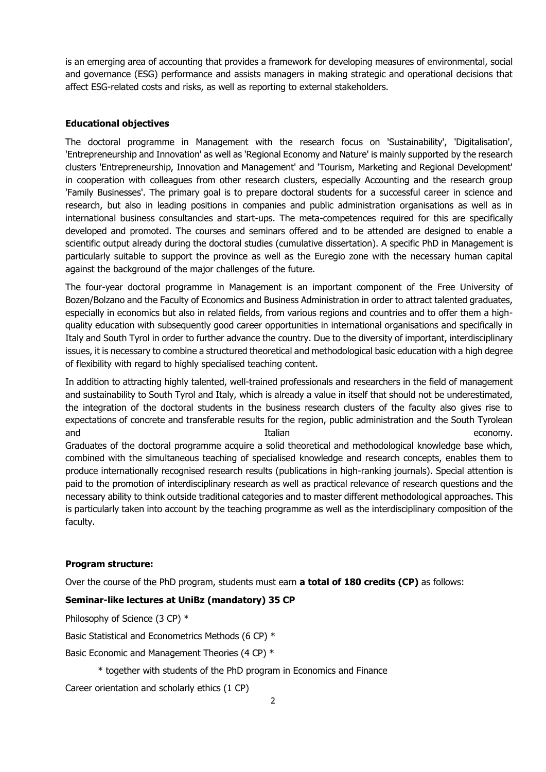is an emerging area of accounting that provides a framework for developing measures of environmental, social and governance (ESG) performance and assists managers in making strategic and operational decisions that affect ESG-related costs and risks, as well as reporting to external stakeholders.

# **Educational objectives**

The doctoral programme in Management with the research focus on 'Sustainability', 'Digitalisation', 'Entrepreneurship and Innovation' as well as 'Regional Economy and Nature' is mainly supported by the research clusters 'Entrepreneurship, Innovation and Management' and 'Tourism, Marketing and Regional Development' in cooperation with colleagues from other research clusters, especially Accounting and the research group 'Family Businesses'. The primary goal is to prepare doctoral students for a successful career in science and research, but also in leading positions in companies and public administration organisations as well as in international business consultancies and start-ups. The meta-competences required for this are specifically developed and promoted. The courses and seminars offered and to be attended are designed to enable a scientific output already during the doctoral studies (cumulative dissertation). A specific PhD in Management is particularly suitable to support the province as well as the Euregio zone with the necessary human capital against the background of the major challenges of the future.

The four-year doctoral programme in Management is an important component of the Free University of Bozen/Bolzano and the Faculty of Economics and Business Administration in order to attract talented graduates, especially in economics but also in related fields, from various regions and countries and to offer them a highquality education with subsequently good career opportunities in international organisations and specifically in Italy and South Tyrol in order to further advance the country. Due to the diversity of important, interdisciplinary issues, it is necessary to combine a structured theoretical and methodological basic education with a high degree of flexibility with regard to highly specialised teaching content.

In addition to attracting highly talented, well-trained professionals and researchers in the field of management and sustainability to South Tyrol and Italy, which is already a value in itself that should not be underestimated, the integration of the doctoral students in the business research clusters of the faculty also gives rise to expectations of concrete and transferable results for the region, public administration and the South Tyrolean and and Italian economy. Italian economy. Italian economy.

Graduates of the doctoral programme acquire a solid theoretical and methodological knowledge base which, combined with the simultaneous teaching of specialised knowledge and research concepts, enables them to produce internationally recognised research results (publications in high-ranking journals). Special attention is paid to the promotion of interdisciplinary research as well as practical relevance of research questions and the necessary ability to think outside traditional categories and to master different methodological approaches. This is particularly taken into account by the teaching programme as well as the interdisciplinary composition of the faculty.

## **Program structure:**

Over the course of the PhD program, students must earn **a total of 180 credits (CP)** as follows:

## **Seminar-like lectures at UniBz (mandatory) 35 CP**

Philosophy of Science (3 CP) \*

Basic Statistical and Econometrics Methods (6 CP) \*

Basic Economic and Management Theories (4 CP) \*

\* together with students of the PhD program in Economics and Finance

Career orientation and scholarly ethics (1 CP)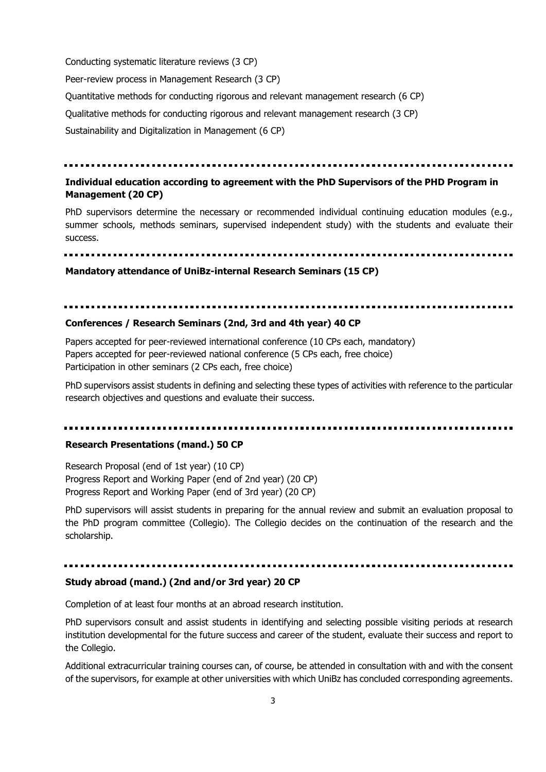Conducting systematic literature reviews (3 CP) Peer-review process in Management Research (3 CP) Quantitative methods for conducting rigorous and relevant management research (6 CP) Qualitative methods for conducting rigorous and relevant management research (3 CP) Sustainability and Digitalization in Management (6 CP)

# **Individual education according to agreement with the PhD Supervisors of the PHD Program in Management (20 CP)**

PhD supervisors determine the necessary or recommended individual continuing education modules (e.g., summer schools, methods seminars, supervised independent study) with the students and evaluate their success.

**Mandatory attendance of UniBz-internal Research Seminars (15 CP)**

#### **Conferences / Research Seminars (2nd, 3rd and 4th year) 40 CP**

Papers accepted for peer-reviewed international conference (10 CPs each, mandatory) Papers accepted for peer-reviewed national conference (5 CPs each, free choice) Participation in other seminars (2 CPs each, free choice)

PhD supervisors assist students in defining and selecting these types of activities with reference to the particular research objectives and questions and evaluate their success.

#### **Research Presentations (mand.) 50 CP**

Research Proposal (end of 1st year) (10 CP) Progress Report and Working Paper (end of 2nd year) (20 CP) Progress Report and Working Paper (end of 3rd year) (20 CP)

PhD supervisors will assist students in preparing for the annual review and submit an evaluation proposal to the PhD program committee (Collegio). The Collegio decides on the continuation of the research and the scholarship.

### **Study abroad (mand.) (2nd and/or 3rd year) 20 CP**

Completion of at least four months at an abroad research institution.

PhD supervisors consult and assist students in identifying and selecting possible visiting periods at research institution developmental for the future success and career of the student, evaluate their success and report to the Collegio.

Additional extracurricular training courses can, of course, be attended in consultation with and with the consent of the supervisors, for example at other universities with which UniBz has concluded corresponding agreements.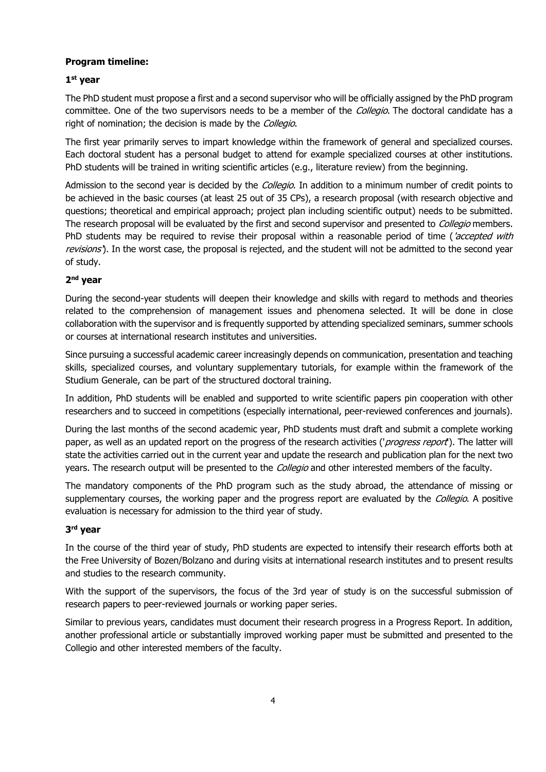# **Program timeline:**

# **1 st year**

The PhD student must propose a first and a second supervisor who will be officially assigned by the PhD program committee. One of the two supervisors needs to be a member of the Collegio. The doctoral candidate has a right of nomination; the decision is made by the Collegio.

The first year primarily serves to impart knowledge within the framework of general and specialized courses. Each doctoral student has a personal budget to attend for example specialized courses at other institutions. PhD students will be trained in writing scientific articles (e.g., literature review) from the beginning.

Admission to the second year is decided by the Collegio. In addition to a minimum number of credit points to be achieved in the basic courses (at least 25 out of 35 CPs), a research proposal (with research objective and questions; theoretical and empirical approach; project plan including scientific output) needs to be submitted. The research proposal will be evaluated by the first and second supervisor and presented to *Collegio* members. PhD students may be required to revise their proposal within a reasonable period of time (*'accepted with* revisions'). In the worst case, the proposal is rejected, and the student will not be admitted to the second year of study.

# **2 nd year**

During the second-year students will deepen their knowledge and skills with regard to methods and theories related to the comprehension of management issues and phenomena selected. It will be done in close collaboration with the supervisor and is frequently supported by attending specialized seminars, summer schools or courses at international research institutes and universities.

Since pursuing a successful academic career increasingly depends on communication, presentation and teaching skills, specialized courses, and voluntary supplementary tutorials, for example within the framework of the Studium Generale, can be part of the structured doctoral training.

In addition, PhD students will be enabled and supported to write scientific papers pin cooperation with other researchers and to succeed in competitions (especially international, peer-reviewed conferences and journals).

During the last months of the second academic year, PhD students must draft and submit a complete working paper, as well as an updated report on the progress of the research activities ('*progress report*'). The latter will state the activities carried out in the current year and update the research and publication plan for the next two years. The research output will be presented to the *Collegio* and other interested members of the faculty.

The mandatory components of the PhD program such as the study abroad, the attendance of missing or supplementary courses, the working paper and the progress report are evaluated by the *Collegio*. A positive evaluation is necessary for admission to the third year of study.

# **3 rd year**

In the course of the third year of study, PhD students are expected to intensify their research efforts both at the Free University of Bozen/Bolzano and during visits at international research institutes and to present results and studies to the research community.

With the support of the supervisors, the focus of the 3rd year of study is on the successful submission of research papers to peer-reviewed journals or working paper series.

Similar to previous years, candidates must document their research progress in a Progress Report. In addition, another professional article or substantially improved working paper must be submitted and presented to the Collegio and other interested members of the faculty.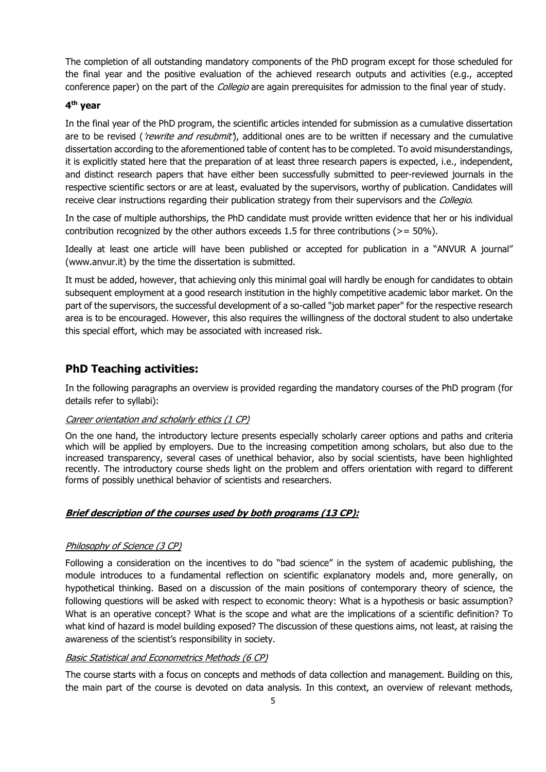The completion of all outstanding mandatory components of the PhD program except for those scheduled for the final year and the positive evaluation of the achieved research outputs and activities (e.g., accepted conference paper) on the part of the *Collegio* are again prerequisites for admission to the final year of study.

## **4 th year**

In the final year of the PhD program, the scientific articles intended for submission as a cumulative dissertation are to be revised ('rewrite and resubmit'), additional ones are to be written if necessary and the cumulative dissertation according to the aforementioned table of content has to be completed. To avoid misunderstandings, it is explicitly stated here that the preparation of at least three research papers is expected, i.e., independent, and distinct research papers that have either been successfully submitted to peer-reviewed journals in the respective scientific sectors or are at least, evaluated by the supervisors, worthy of publication. Candidates will receive clear instructions regarding their publication strategy from their supervisors and the Collegio.

In the case of multiple authorships, the PhD candidate must provide written evidence that her or his individual contribution recognized by the other authors exceeds 1.5 for three contributions ( $>$  = 50%).

Ideally at least one article will have been published or accepted for publication in a "ANVUR A journal" (www.anvur.it) by the time the dissertation is submitted.

It must be added, however, that achieving only this minimal goal will hardly be enough for candidates to obtain subsequent employment at a good research institution in the highly competitive academic labor market. On the part of the supervisors, the successful development of a so-called "job market paper" for the respective research area is to be encouraged. However, this also requires the willingness of the doctoral student to also undertake this special effort, which may be associated with increased risk.

# **PhD Teaching activities:**

In the following paragraphs an overview is provided regarding the mandatory courses of the PhD program (for details refer to syllabi):

## Career orientation and scholarly ethics (1 CP)

On the one hand, the introductory lecture presents especially scholarly career options and paths and criteria which will be applied by employers. Due to the increasing competition among scholars, but also due to the increased transparency, several cases of unethical behavior, also by social scientists, have been highlighted recently. The introductory course sheds light on the problem and offers orientation with regard to different forms of possibly unethical behavior of scientists and researchers.

## **Brief description of the courses used by both programs (13 CP):**

## Philosophy of Science (3 CP)

Following a consideration on the incentives to do "bad science" in the system of academic publishing, the module introduces to a fundamental reflection on scientific explanatory models and, more generally, on hypothetical thinking. Based on a discussion of the main positions of contemporary theory of science, the following questions will be asked with respect to economic theory: What is a hypothesis or basic assumption? What is an operative concept? What is the scope and what are the implications of a scientific definition? To what kind of hazard is model building exposed? The discussion of these questions aims, not least, at raising the awareness of the scientist's responsibility in society.

## Basic Statistical and Econometrics Methods (6 CP)

The course starts with a focus on concepts and methods of data collection and management. Building on this, the main part of the course is devoted on data analysis. In this context, an overview of relevant methods,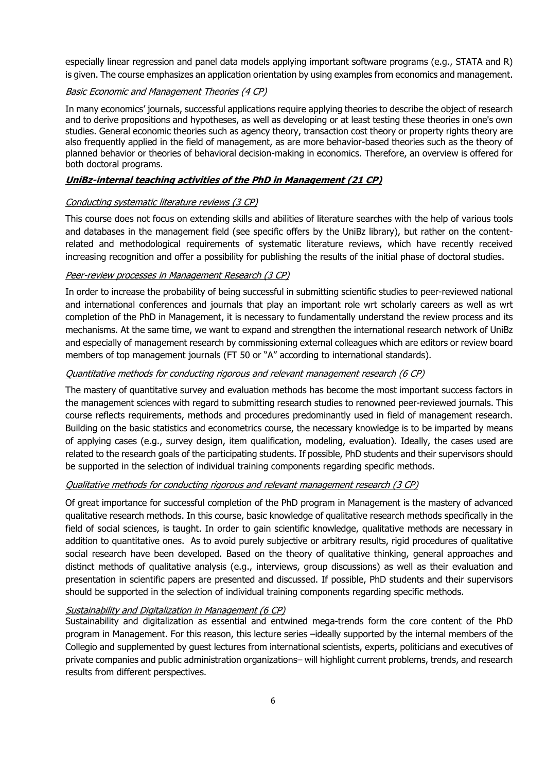especially linear regression and panel data models applying important software programs (e.g., STATA and R) is given. The course emphasizes an application orientation by using examples from economics and management.

## Basic Economic and Management Theories (4 CP)

In many economics' journals, successful applications require applying theories to describe the object of research and to derive propositions and hypotheses, as well as developing or at least testing these theories in one's own studies. General economic theories such as agency theory, transaction cost theory or property rights theory are also frequently applied in the field of management, as are more behavior-based theories such as the theory of planned behavior or theories of behavioral decision-making in economics. Therefore, an overview is offered for both doctoral programs.

### **UniBz-internal teaching activities of the PhD in Management (21 CP)**

### Conducting systematic literature reviews (3 CP)

This course does not focus on extending skills and abilities of literature searches with the help of various tools and databases in the management field (see specific offers by the UniBz library), but rather on the contentrelated and methodological requirements of systematic literature reviews, which have recently received increasing recognition and offer a possibility for publishing the results of the initial phase of doctoral studies.

### Peer-review processes in Management Research (3 CP)

In order to increase the probability of being successful in submitting scientific studies to peer-reviewed national and international conferences and journals that play an important role wrt scholarly careers as well as wrt completion of the PhD in Management, it is necessary to fundamentally understand the review process and its mechanisms. At the same time, we want to expand and strengthen the international research network of UniBz and especially of management research by commissioning external colleagues which are editors or review board members of top management journals (FT 50 or "A" according to international standards).

### Quantitative methods for conducting rigorous and relevant management research (6 CP)

The mastery of quantitative survey and evaluation methods has become the most important success factors in the management sciences with regard to submitting research studies to renowned peer-reviewed journals. This course reflects requirements, methods and procedures predominantly used in field of management research. Building on the basic statistics and econometrics course, the necessary knowledge is to be imparted by means of applying cases (e.g., survey design, item qualification, modeling, evaluation). Ideally, the cases used are related to the research goals of the participating students. If possible, PhD students and their supervisors should be supported in the selection of individual training components regarding specific methods.

### Qualitative methods for conducting rigorous and relevant management research (3 CP)

Of great importance for successful completion of the PhD program in Management is the mastery of advanced qualitative research methods. In this course, basic knowledge of qualitative research methods specifically in the field of social sciences, is taught. In order to gain scientific knowledge, qualitative methods are necessary in addition to quantitative ones. As to avoid purely subjective or arbitrary results, rigid procedures of qualitative social research have been developed. Based on the theory of qualitative thinking, general approaches and distinct methods of qualitative analysis (e.g., interviews, group discussions) as well as their evaluation and presentation in scientific papers are presented and discussed. If possible, PhD students and their supervisors should be supported in the selection of individual training components regarding specific methods.

# Sustainability and Digitalization in Management (6 CP)

Sustainability and digitalization as essential and entwined mega-trends form the core content of the PhD program in Management. For this reason, this lecture series –ideally supported by the internal members of the Collegio and supplemented by guest lectures from international scientists, experts, politicians and executives of private companies and public administration organizations– will highlight current problems, trends, and research results from different perspectives.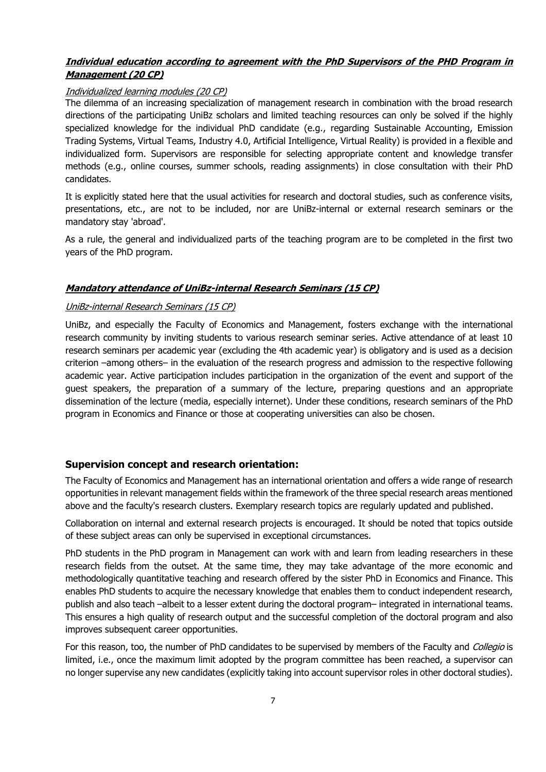# **Individual education according to agreement with the PhD Supervisors of the PHD Program in Management (20 CP)**

# Individualized learning modules (20 CP)

The dilemma of an increasing specialization of management research in combination with the broad research directions of the participating UniBz scholars and limited teaching resources can only be solved if the highly specialized knowledge for the individual PhD candidate (e.g., regarding Sustainable Accounting, Emission Trading Systems, Virtual Teams, Industry 4.0, Artificial Intelligence, Virtual Reality) is provided in a flexible and individualized form. Supervisors are responsible for selecting appropriate content and knowledge transfer methods (e.g., online courses, summer schools, reading assignments) in close consultation with their PhD candidates.

It is explicitly stated here that the usual activities for research and doctoral studies, such as conference visits, presentations, etc., are not to be included, nor are UniBz-internal or external research seminars or the mandatory stay 'abroad'.

As a rule, the general and individualized parts of the teaching program are to be completed in the first two years of the PhD program.

# **Mandatory attendance of UniBz-internal Research Seminars (15 CP)**

## UniBz-internal Research Seminars (15 CP)

UniBz, and especially the Faculty of Economics and Management, fosters exchange with the international research community by inviting students to various research seminar series. Active attendance of at least 10 research seminars per academic year (excluding the 4th academic year) is obligatory and is used as a decision criterion –among others– in the evaluation of the research progress and admission to the respective following academic year. Active participation includes participation in the organization of the event and support of the guest speakers, the preparation of a summary of the lecture, preparing questions and an appropriate dissemination of the lecture (media, especially internet). Under these conditions, research seminars of the PhD program in Economics and Finance or those at cooperating universities can also be chosen.

# **Supervision concept and research orientation:**

The Faculty of Economics and Management has an international orientation and offers a wide range of research opportunities in relevant management fields within the framework of the three special research areas mentioned above and the faculty's research clusters. Exemplary research topics are regularly updated and published.

Collaboration on internal and external research projects is encouraged. It should be noted that topics outside of these subject areas can only be supervised in exceptional circumstances.

PhD students in the PhD program in Management can work with and learn from leading researchers in these research fields from the outset. At the same time, they may take advantage of the more economic and methodologically quantitative teaching and research offered by the sister PhD in Economics and Finance. This enables PhD students to acquire the necessary knowledge that enables them to conduct independent research, publish and also teach –albeit to a lesser extent during the doctoral program– integrated in international teams. This ensures a high quality of research output and the successful completion of the doctoral program and also improves subsequent career opportunities.

For this reason, too, the number of PhD candidates to be supervised by members of the Faculty and Collegio is limited, i.e., once the maximum limit adopted by the program committee has been reached, a supervisor can no longer supervise any new candidates (explicitly taking into account supervisor roles in other doctoral studies).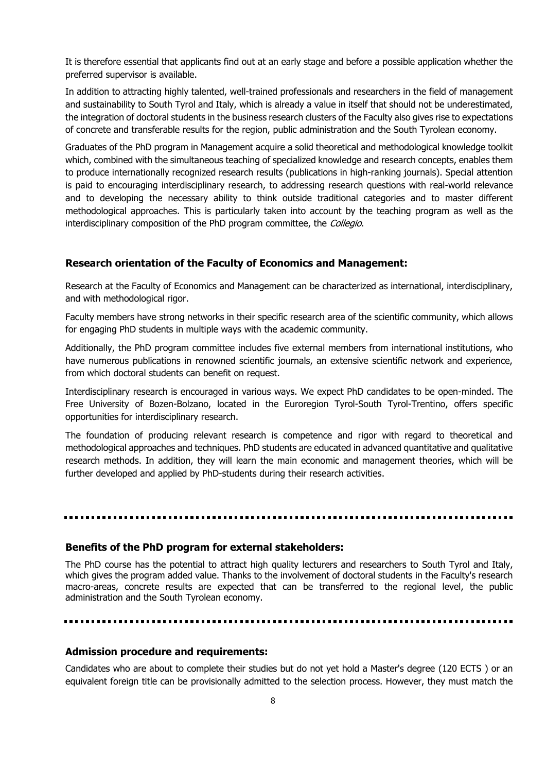It is therefore essential that applicants find out at an early stage and before a possible application whether the preferred supervisor is available.

In addition to attracting highly talented, well-trained professionals and researchers in the field of management and sustainability to South Tyrol and Italy, which is already a value in itself that should not be underestimated, the integration of doctoral students in the business research clusters of the Faculty also gives rise to expectations of concrete and transferable results for the region, public administration and the South Tyrolean economy.

Graduates of the PhD program in Management acquire a solid theoretical and methodological knowledge toolkit which, combined with the simultaneous teaching of specialized knowledge and research concepts, enables them to produce internationally recognized research results (publications in high-ranking journals). Special attention is paid to encouraging interdisciplinary research, to addressing research questions with real-world relevance and to developing the necessary ability to think outside traditional categories and to master different methodological approaches. This is particularly taken into account by the teaching program as well as the interdisciplinary composition of the PhD program committee, the Collegio.

### **Research orientation of the Faculty of Economics and Management:**

Research at the Faculty of Economics and Management can be characterized as international, interdisciplinary, and with methodological rigor.

Faculty members have strong networks in their specific research area of the scientific community, which allows for engaging PhD students in multiple ways with the academic community.

Additionally, the PhD program committee includes five external members from international institutions, who have numerous publications in renowned scientific journals, an extensive scientific network and experience, from which doctoral students can benefit on request.

Interdisciplinary research is encouraged in various ways. We expect PhD candidates to be open-minded. The Free University of Bozen-Bolzano, located in the Euroregion Tyrol-South Tyrol-Trentino, offers specific opportunities for interdisciplinary research.

The foundation of producing relevant research is competence and rigor with regard to theoretical and methodological approaches and techniques. PhD students are educated in advanced quantitative and qualitative research methods. In addition, they will learn the main economic and management theories, which will be further developed and applied by PhD-students during their research activities.

# **Benefits of the PhD program for external stakeholders:**

The PhD course has the potential to attract high quality lecturers and researchers to South Tyrol and Italy, which gives the program added value. Thanks to the involvement of doctoral students in the Faculty's research macro-areas, concrete results are expected that can be transferred to the regional level, the public administration and the South Tyrolean economy.

## **Admission procedure and requirements:**

Candidates who are about to complete their studies but do not yet hold a Master's degree (120 ECTS ) or an equivalent foreign title can be provisionally admitted to the selection process. However, they must match the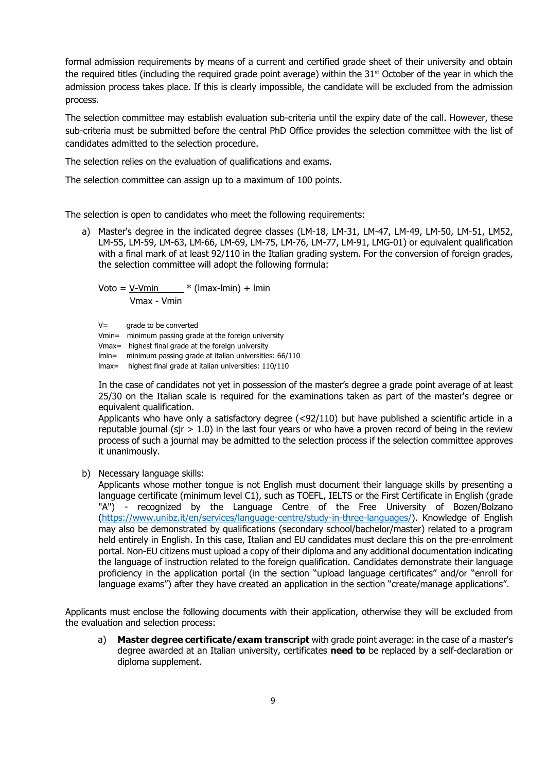formal admission requirements by means of a current and certified grade sheet of their university and obtain the required titles (including the required grade point average) within the  $31<sup>st</sup>$  October of the year in which the admission process takes place. If this is clearly impossible, the candidate will be excluded from the admission process.

The selection committee may establish evaluation sub-criteria until the expiry date of the call. However, these sub-criteria must be submitted before the central PhD Office provides the selection committee with the list of candidates admitted to the selection procedure.

The selection relies on the evaluation of qualifications and exams.

The selection committee can assign up to a maximum of 100 points.

The selection is open to candidates who meet the following requirements:

a) Master's degree in the indicated degree classes (LM-18, LM-31, LM-47, LM-49, LM-50, LM-51, LM52, LM-55, LM-59, LM-63, LM-66, LM-69, LM-75, LM-76, LM-77, LM-91, LMG-01) or equivalent qualification with a final mark of at least 92/110 in the Italian grading system. For the conversion of foreign grades, the selection committee will adopt the following formula:

Voto = V-Vmin  $*$  (lmax-lmin) + lmin Vmax - Vmin

 $V=$  grade to be converted

Vmin= minimum passing grade at the foreign university

Vmax= highest final grade at the foreign university

lmin= minimum passing grade at italian universities: 66/110

lmax= highest final grade at italian universities: 110/110

In the case of candidates not yet in possession of the master's degree a grade point average of at least 25/30 on the Italian scale is required for the examinations taken as part of the master's degree or equivalent qualification.

Applicants who have only a satisfactory degree (<92/110) but have published a scientific article in a reputable journal (sir  $> 1.0$ ) in the last four years or who have a proven record of being in the review process of such a journal may be admitted to the selection process if the selection committee approves it unanimously.

b) Necessary language skills:

Applicants whose mother tongue is not English must document their language skills by presenting a language certificate (minimum level C1), such as TOEFL, IELTS or the First Certificate in English (grade "A") - recognized by the Language Centre of the Free University of Bozen/Bolzano [\(https://www.unibz.it/en/services/language-centre/study-in-three-languages/\)](https://www.unibz.it/en/services/language-centre/study-in-three-languages/). Knowledge of English may also be demonstrated by qualifications (secondary school/bachelor/master) related to a program held entirely in English. In this case, Italian and EU candidates must declare this on the pre-enrolment portal. Non-EU citizens must upload a copy of their diploma and any additional documentation indicating the language of instruction related to the foreign qualification. Candidates demonstrate their language proficiency in the application portal (in the section "upload language certificates" and/or "enroll for language exams") after they have created an application in the section "create/manage applications".

Applicants must enclose the following documents with their application, otherwise they will be excluded from the evaluation and selection process:

a) **Master degree certificate/exam transcript** with grade point average: in the case of a master's degree awarded at an Italian university, certificates **need to** be replaced by a self-declaration or diploma supplement.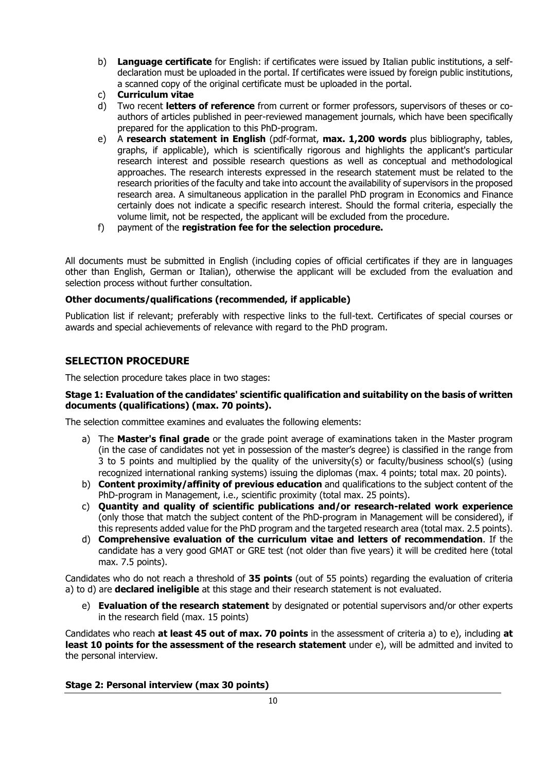- b) **Language certificate** for English: if certificates were issued by Italian public institutions, a selfdeclaration must be uploaded in the portal. If certificates were issued by foreign public institutions, a scanned copy of the original certificate must be uploaded in the portal.
- c) **Curriculum vitae**
- d) Two recent **letters of reference** from current or former professors, supervisors of theses or coauthors of articles published in peer-reviewed management journals, which have been specifically prepared for the application to this PhD-program.
- e) A **research statement in English** (pdf-format, **max. 1,200 words** plus bibliography, tables, graphs, if applicable), which is scientifically rigorous and highlights the applicant's particular research interest and possible research questions as well as conceptual and methodological approaches. The research interests expressed in the research statement must be related to the research priorities of the faculty and take into account the availability of supervisors in the proposed research area. A simultaneous application in the parallel PhD program in Economics and Finance certainly does not indicate a specific research interest. Should the formal criteria, especially the volume limit, not be respected, the applicant will be excluded from the procedure.
- f) payment of the **registration fee for the selection procedure.**

All documents must be submitted in English (including copies of official certificates if they are in languages other than English, German or Italian), otherwise the applicant will be excluded from the evaluation and selection process without further consultation.

# **Other documents/qualifications (recommended, if applicable)**

Publication list if relevant; preferably with respective links to the full-text. Certificates of special courses or awards and special achievements of relevance with regard to the PhD program.

# **SELECTION PROCEDURE**

The selection procedure takes place in two stages:

# **Stage 1: Evaluation of the candidates' scientific qualification and suitability on the basis of written documents (qualifications) (max. 70 points).**

The selection committee examines and evaluates the following elements:

- a) The **Master's final grade** or the grade point average of examinations taken in the Master program (in the case of candidates not yet in possession of the master's degree) is classified in the range from 3 to 5 points and multiplied by the quality of the university(s) or faculty/business school(s) (using recognized international ranking systems) issuing the diplomas (max. 4 points; total max. 20 points).
- b) **Content proximity/affinity of previous education** and qualifications to the subject content of the PhD-program in Management, i.e., scientific proximity (total max. 25 points).
- c) **Quantity and quality of scientific publications and/or research-related work experience** (only those that match the subject content of the PhD-program in Management will be considered), if this represents added value for the PhD program and the targeted research area (total max. 2.5 points).
- d) **Comprehensive evaluation of the curriculum vitae and letters of recommendation**. If the candidate has a very good GMAT or GRE test (not older than five years) it will be credited here (total max. 7.5 points).

Candidates who do not reach a threshold of **35 points** (out of 55 points) regarding the evaluation of criteria a) to d) are **declared ineligible** at this stage and their research statement is not evaluated.

e) **Evaluation of the research statement** by designated or potential supervisors and/or other experts in the research field (max. 15 points)

Candidates who reach **at least 45 out of max. 70 points** in the assessment of criteria a) to e), including **at least 10 points for the assessment of the research statement** under e), will be admitted and invited to the personal interview.

## **Stage 2: Personal interview (max 30 points)**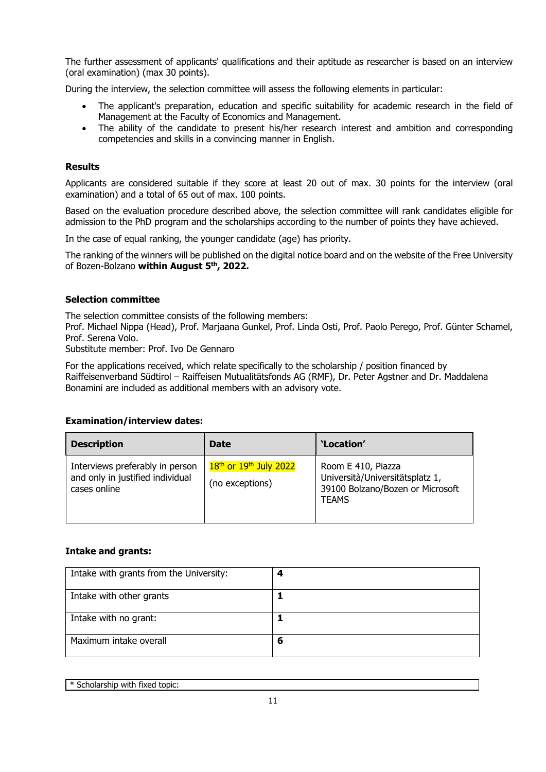The further assessment of applicants' qualifications and their aptitude as researcher is based on an interview (oral examination) (max 30 points).

During the interview, the selection committee will assess the following elements in particular:

- The applicant's preparation, education and specific suitability for academic research in the field of Management at the Faculty of Economics and Management.
- The ability of the candidate to present his/her research interest and ambition and corresponding competencies and skills in a convincing manner in English.

# **Results**

Applicants are considered suitable if they score at least 20 out of max. 30 points for the interview (oral examination) and a total of 65 out of max. 100 points.

Based on the evaluation procedure described above, the selection committee will rank candidates eligible for admission to the PhD program and the scholarships according to the number of points they have achieved.

In the case of equal ranking, the younger candidate (age) has priority.

The ranking of the winners will be published on the digital notice board and on the website of the Free University of Bozen-Bolzano **within August 5 th , 2022.**

## **Selection committee**

The selection committee consists of the following members:

Prof. Michael Nippa (Head), Prof. Marjaana Gunkel, Prof. Linda Osti, Prof. Paolo Perego, Prof. Günter Schamel, Prof. Serena Volo.

Substitute member: Prof. Ivo De Gennaro

For the applications received, which relate specifically to the scholarship / position financed by Raiffeisenverband Südtirol – Raiffeisen Mutualitätsfonds AG (RMF), Dr. Peter Agstner and Dr. Maddalena Bonamini are included as additional members with an advisory vote.

## **Examination/interview dates:**

| <b>Description</b>                                                                  | <b>Date</b>                                   | 'Location'                                                                                                |
|-------------------------------------------------------------------------------------|-----------------------------------------------|-----------------------------------------------------------------------------------------------------------|
| Interviews preferably in person<br>and only in justified individual<br>cases online | $18th$ or $19th$ July 2022<br>(no exceptions) | Room E 410, Piazza<br>Università/Universitätsplatz 1,<br>39100 Bolzano/Bozen or Microsoft<br><b>TEAMS</b> |

## **Intake and grants:**

| Intake with grants from the University: | 4 |
|-----------------------------------------|---|
| Intake with other grants                |   |
| Intake with no grant:                   |   |
| Maximum intake overall                  | 6 |

\* Scholarship with fixed topic: